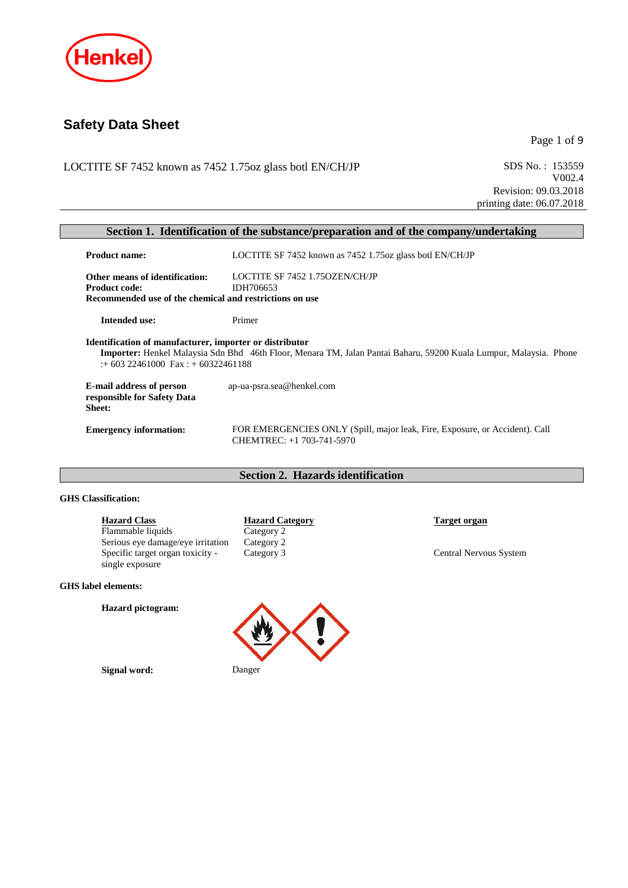

# **Safety Data Sheet**

Page 1 of 9

LOCTITE SF 7452 known as 7452 1.75oz glass botl EN/CH/JP SDS No.: 153559

V002.4 Revision: 09.03.2018 printing date: 06.07.2018

| Section 1. Identification of the substance/preparation and of the company/undertaking            |                                                                                                                          |  |  |
|--------------------------------------------------------------------------------------------------|--------------------------------------------------------------------------------------------------------------------------|--|--|
| <b>Product name:</b>                                                                             | LOCTITE SF 7452 known as 7452 1.75 oz glass botl EN/CH/JP                                                                |  |  |
| Other means of identification:                                                                   | LOCTITE SF 7452 1.750ZEN/CH/JP                                                                                           |  |  |
| <b>Product code:</b>                                                                             | IDH706653                                                                                                                |  |  |
| Recommended use of the chemical and restrictions on use                                          |                                                                                                                          |  |  |
| <b>Intended use:</b>                                                                             | Primer                                                                                                                   |  |  |
| Identification of manufacturer, importer or distributor<br>$: +60322461000$ Fax $: +60322461188$ | <b>Importer:</b> Henkel Malaysia Sdn Bhd 46th Floor, Menara TM, Jalan Pantai Baharu, 59200 Kuala Lumpur, Malaysia. Phone |  |  |
| <b>E-mail address of person</b><br>responsible for Safety Data<br><b>Sheet:</b>                  | ap-ua-psra.sea@henkel.com                                                                                                |  |  |
| <b>Emergency information:</b>                                                                    | FOR EMERGENCIES ONLY (Spill, major leak, Fire, Exposure, or Accident). Call<br>CHEMTREC: +1 703-741-5970                 |  |  |

## **Section 2. Hazards identification**

#### **GHS Classification:**

| <b>Hazard Class</b>                                 | <b>Hazard Category</b> | Target organ                  |
|-----------------------------------------------------|------------------------|-------------------------------|
| Flammable liquids                                   | Category 2             |                               |
| Serious eye damage/eye irritation                   | Category 2             |                               |
| Specific target organ toxicity -<br>single exposure | Category 3             | <b>Central Nervous System</b> |

#### **GHS label elements:**

**Hazard pictogram:**

**Signal word:** Danger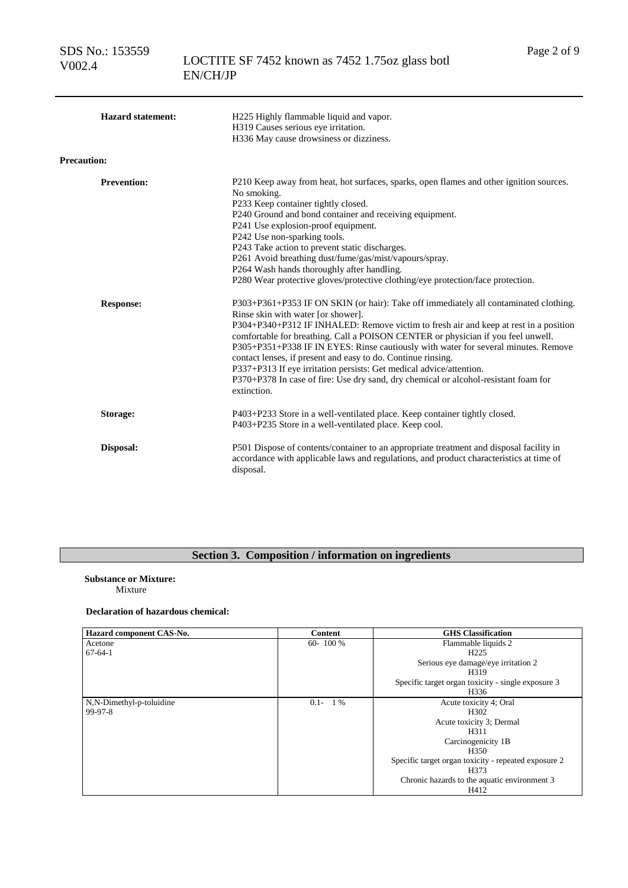SDS No.: 153559 V002.4

| <b>Hazard statement:</b><br><b>Precaution:</b> | H225 Highly flammable liquid and vapor.<br>H319 Causes serious eye irritation.<br>H336 May cause drowsiness or dizziness.                                                                                                                                                                                                                                                                                                                                                                                                                                                                                                                 |
|------------------------------------------------|-------------------------------------------------------------------------------------------------------------------------------------------------------------------------------------------------------------------------------------------------------------------------------------------------------------------------------------------------------------------------------------------------------------------------------------------------------------------------------------------------------------------------------------------------------------------------------------------------------------------------------------------|
| <b>Prevention:</b>                             | P210 Keep away from heat, hot surfaces, sparks, open flames and other ignition sources.<br>No smoking.<br>P233 Keep container tightly closed.<br>P240 Ground and bond container and receiving equipment.<br>P241 Use explosion-proof equipment.<br>P242 Use non-sparking tools.<br>P243 Take action to prevent static discharges.<br>P261 Avoid breathing dust/fume/gas/mist/vapours/spray.<br>P264 Wash hands thoroughly after handling.<br>P280 Wear protective gloves/protective clothing/eye protection/face protection.                                                                                                              |
| <b>Response:</b>                               | P303+P361+P353 IF ON SKIN (or hair): Take off immediately all contaminated clothing.<br>Rinse skin with water [or shower].<br>P304+P340+P312 IF INHALED: Remove victim to fresh air and keep at rest in a position<br>comfortable for breathing. Call a POISON CENTER or physician if you feel unwell.<br>P305+P351+P338 IF IN EYES: Rinse cautiously with water for several minutes. Remove<br>contact lenses, if present and easy to do. Continue rinsing.<br>P337+P313 If eye irritation persists: Get medical advice/attention.<br>P370+P378 In case of fire: Use dry sand, dry chemical or alcohol-resistant foam for<br>extinction. |
| Storage:                                       | P403+P233 Store in a well-ventilated place. Keep container tightly closed.<br>P403+P235 Store in a well-ventilated place. Keep cool.                                                                                                                                                                                                                                                                                                                                                                                                                                                                                                      |
| Disposal:                                      | P501 Dispose of contents/container to an appropriate treatment and disposal facility in<br>accordance with applicable laws and regulations, and product characteristics at time of<br>disposal.                                                                                                                                                                                                                                                                                                                                                                                                                                           |

## **Section 3. Composition / information on ingredients**

## **Substance or Mixture:**

Mixture

### **Declaration of hazardous chemical:**

| Hazard component CAS-No. | <b>Content</b> | <b>GHS</b> Classification                            |
|--------------------------|----------------|------------------------------------------------------|
| Acetone                  | $60 - 100 %$   | Flammable liquids 2                                  |
| $67-64-1$                |                | H <sub>225</sub>                                     |
|                          |                | Serious eye damage/eye irritation 2                  |
|                          |                | H319                                                 |
|                          |                | Specific target organ toxicity - single exposure 3   |
|                          |                | H336                                                 |
| N,N-Dimethyl-p-toluidine | $0.1 - 1\%$    | Acute toxicity 4; Oral                               |
| 99-97-8                  |                | H <sub>302</sub>                                     |
|                          |                | Acute toxicity 3; Dermal                             |
|                          |                | H311                                                 |
|                          |                | Carcinogenicity 1B                                   |
|                          |                | H350                                                 |
|                          |                | Specific target organ toxicity - repeated exposure 2 |
|                          |                | H373                                                 |
|                          |                | Chronic hazards to the aquatic environment 3         |
|                          |                | H412                                                 |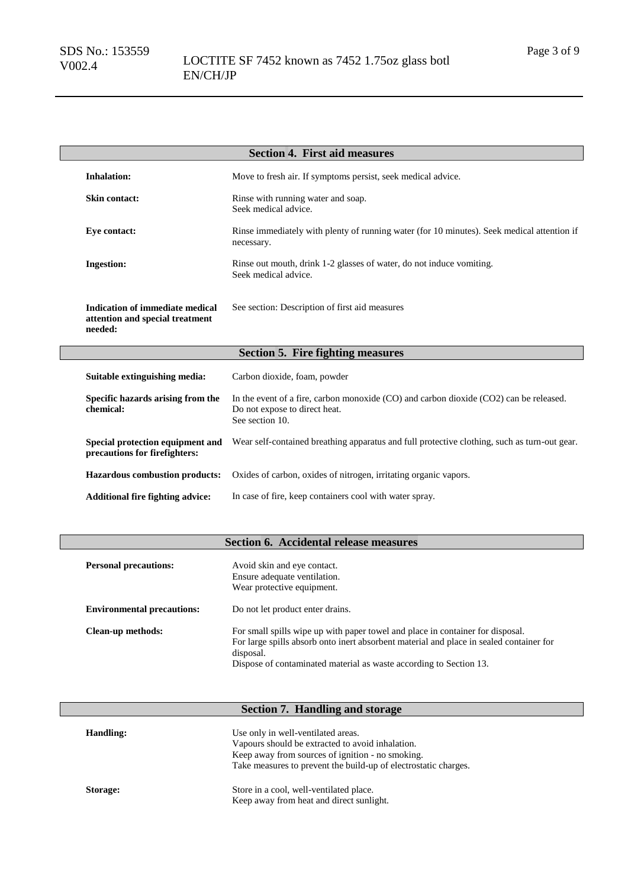| <b>Section 4. First aid measures</b>                                                 |                                                                                                                                            |  |
|--------------------------------------------------------------------------------------|--------------------------------------------------------------------------------------------------------------------------------------------|--|
| <b>Inhalation:</b>                                                                   | Move to fresh air. If symptoms persist, seek medical advice.                                                                               |  |
| <b>Skin contact:</b>                                                                 | Rinse with running water and soap.<br>Seek medical advice.                                                                                 |  |
| Eye contact:                                                                         | Rinse immediately with plenty of running water (for 10 minutes). Seek medical attention if<br>necessary.                                   |  |
| <b>Ingestion:</b>                                                                    | Rinse out mouth, drink 1-2 glasses of water, do not induce vomiting.<br>Seek medical advice.                                               |  |
| <b>Indication of immediate medical</b><br>attention and special treatment<br>needed: | See section: Description of first aid measures                                                                                             |  |
|                                                                                      | <b>Section 5. Fire fighting measures</b>                                                                                                   |  |
| Suitable extinguishing media:                                                        | Carbon dioxide, foam, powder                                                                                                               |  |
| Specific hazards arising from the<br>chemical:                                       | In the event of a fire, carbon monoxide (CO) and carbon dioxide (CO2) can be released.<br>Do not expose to direct heat.<br>See section 10. |  |
| Special protection equipment and<br>precautions for firefighters:                    | Wear self-contained breathing apparatus and full protective clothing, such as turn-out gear.                                               |  |
| <b>Hazardous combustion products:</b>                                                | Oxides of carbon, oxides of nitrogen, irritating organic vapors.                                                                           |  |
| <b>Additional fire fighting advice:</b>                                              | In case of fire, keep containers cool with water spray.                                                                                    |  |

## **Section 6. Accidental release measures**

| <b>Personal precautions:</b>      | Avoid skin and eye contact.<br>Ensure adequate ventilation.<br>Wear protective equipment.                                                                                                                                                                    |
|-----------------------------------|--------------------------------------------------------------------------------------------------------------------------------------------------------------------------------------------------------------------------------------------------------------|
| <b>Environmental precautions:</b> | Do not let product enter drains.                                                                                                                                                                                                                             |
| Clean-up methods:                 | For small spills wipe up with paper towel and place in container for disposal.<br>For large spills absorb onto inert absorbent material and place in sealed container for<br>disposal.<br>Dispose of contaminated material as waste according to Section 13. |

## **Section 7. Handling and storage**

| Handling: | Use only in well-ventilated areas.<br>Vapours should be extracted to avoid inhalation.<br>Keep away from sources of ignition - no smoking.<br>Take measures to prevent the build-up of electrostatic charges. |
|-----------|---------------------------------------------------------------------------------------------------------------------------------------------------------------------------------------------------------------|
| Storage:  | Store in a cool, well-ventilated place.<br>Keep away from heat and direct sunlight.                                                                                                                           |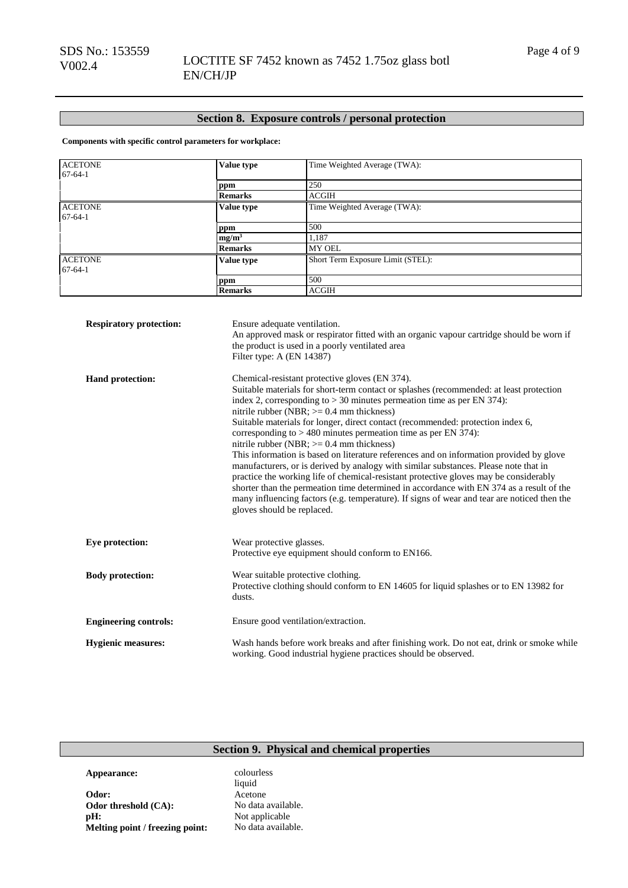## **Section 8. Exposure controls / personal protection**

**Components with specific control parameters for workplace:**

| <b>ACETONE</b><br>$67 - 64 - 1$ | Value type                                                                                                                                                                                                                                                                                                                                                                                                                                                                                                                                                                                                                                                                                                                                                                                                                                                                                                                                                                      | Time Weighted Average (TWA):                                                                                                                                                |  |
|---------------------------------|---------------------------------------------------------------------------------------------------------------------------------------------------------------------------------------------------------------------------------------------------------------------------------------------------------------------------------------------------------------------------------------------------------------------------------------------------------------------------------------------------------------------------------------------------------------------------------------------------------------------------------------------------------------------------------------------------------------------------------------------------------------------------------------------------------------------------------------------------------------------------------------------------------------------------------------------------------------------------------|-----------------------------------------------------------------------------------------------------------------------------------------------------------------------------|--|
|                                 |                                                                                                                                                                                                                                                                                                                                                                                                                                                                                                                                                                                                                                                                                                                                                                                                                                                                                                                                                                                 | 250                                                                                                                                                                         |  |
|                                 | ppm<br><b>Remarks</b>                                                                                                                                                                                                                                                                                                                                                                                                                                                                                                                                                                                                                                                                                                                                                                                                                                                                                                                                                           | <b>ACGIH</b>                                                                                                                                                                |  |
|                                 |                                                                                                                                                                                                                                                                                                                                                                                                                                                                                                                                                                                                                                                                                                                                                                                                                                                                                                                                                                                 |                                                                                                                                                                             |  |
| <b>ACETONE</b><br>$67-64-1$     | Value type                                                                                                                                                                                                                                                                                                                                                                                                                                                                                                                                                                                                                                                                                                                                                                                                                                                                                                                                                                      | Time Weighted Average (TWA):                                                                                                                                                |  |
|                                 | ppm                                                                                                                                                                                                                                                                                                                                                                                                                                                                                                                                                                                                                                                                                                                                                                                                                                                                                                                                                                             | 500                                                                                                                                                                         |  |
|                                 | mg/m <sup>3</sup>                                                                                                                                                                                                                                                                                                                                                                                                                                                                                                                                                                                                                                                                                                                                                                                                                                                                                                                                                               | 1,187                                                                                                                                                                       |  |
|                                 | <b>Remarks</b>                                                                                                                                                                                                                                                                                                                                                                                                                                                                                                                                                                                                                                                                                                                                                                                                                                                                                                                                                                  | MY OEL                                                                                                                                                                      |  |
| <b>ACETONE</b><br>$67 - 64 - 1$ | <b>Value type</b>                                                                                                                                                                                                                                                                                                                                                                                                                                                                                                                                                                                                                                                                                                                                                                                                                                                                                                                                                               | Short Term Exposure Limit (STEL):                                                                                                                                           |  |
|                                 | ppm                                                                                                                                                                                                                                                                                                                                                                                                                                                                                                                                                                                                                                                                                                                                                                                                                                                                                                                                                                             | 500                                                                                                                                                                         |  |
|                                 | <b>Remarks</b>                                                                                                                                                                                                                                                                                                                                                                                                                                                                                                                                                                                                                                                                                                                                                                                                                                                                                                                                                                  | ACGIH                                                                                                                                                                       |  |
| <b>Respiratory protection:</b>  | Filter type: A (EN 14387)                                                                                                                                                                                                                                                                                                                                                                                                                                                                                                                                                                                                                                                                                                                                                                                                                                                                                                                                                       | Ensure adequate ventilation.<br>An approved mask or respirator fitted with an organic vapour cartridge should be worn if<br>the product is used in a poorly ventilated area |  |
| Hand protection:                | Chemical-resistant protective gloves (EN 374).<br>Suitable materials for short-term contact or splashes (recommended: at least protection<br>index 2, corresponding to $> 30$ minutes permeation time as per EN 374):<br>nitrile rubber (NBR; $>= 0.4$ mm thickness)<br>Suitable materials for longer, direct contact (recommended: protection index 6,<br>corresponding to $> 480$ minutes permeation time as per EN 374):<br>nitrile rubber (NBR; $>= 0.4$ mm thickness)<br>This information is based on literature references and on information provided by glove<br>manufacturers, or is derived by analogy with similar substances. Please note that in<br>practice the working life of chemical-resistant protective gloves may be considerably<br>shorter than the permeation time determined in accordance with EN 374 as a result of the<br>many influencing factors (e.g. temperature). If signs of wear and tear are noticed then the<br>gloves should be replaced. |                                                                                                                                                                             |  |
| Eye protection:                 | Wear protective glasses.<br>Protective eye equipment should conform to EN166.                                                                                                                                                                                                                                                                                                                                                                                                                                                                                                                                                                                                                                                                                                                                                                                                                                                                                                   |                                                                                                                                                                             |  |
| <b>Body protection:</b>         | Wear suitable protective clothing.<br>Protective clothing should conform to EN 14605 for liquid splashes or to EN 13982 for<br>dusts.                                                                                                                                                                                                                                                                                                                                                                                                                                                                                                                                                                                                                                                                                                                                                                                                                                           |                                                                                                                                                                             |  |
| <b>Engineering controls:</b>    | Ensure good ventilation/extraction.                                                                                                                                                                                                                                                                                                                                                                                                                                                                                                                                                                                                                                                                                                                                                                                                                                                                                                                                             |                                                                                                                                                                             |  |
| <b>Hygienic measures:</b>       | Wash hands before work breaks and after finishing work. Do not eat, drink or smoke while<br>working. Good industrial hygiene practices should be observed.                                                                                                                                                                                                                                                                                                                                                                                                                                                                                                                                                                                                                                                                                                                                                                                                                      |                                                                                                                                                                             |  |

### **Section 9. Physical and chemical properties**

### **Appearance:** colourless

**Odor:** Acetone<br> **Odor threshold** (CA): No data available. **Odor threshold (CA):** No data available **pH**: Not applicable. **pH:** Not applicable **Melting point / freezing point:** No data available.

liquid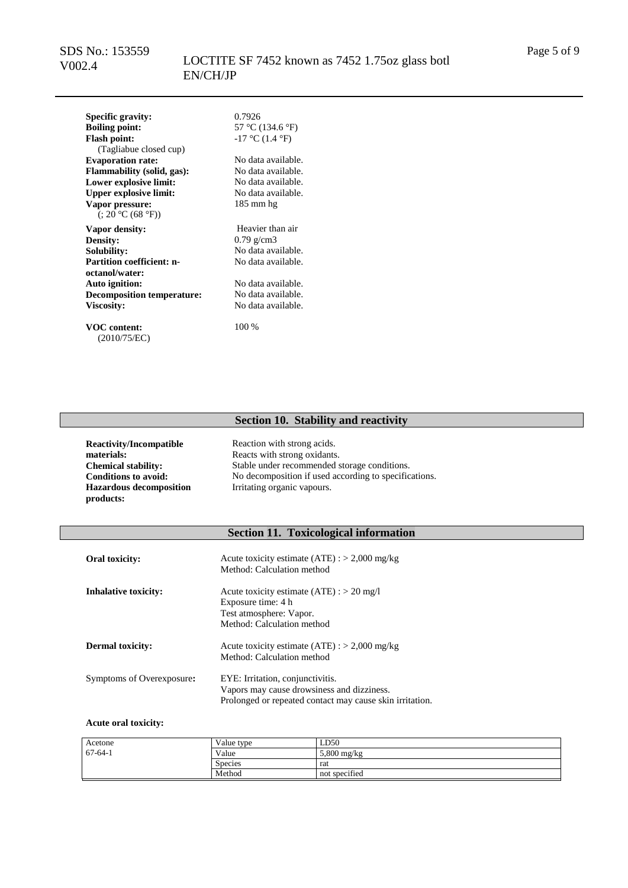## LOCTITE SF 7452 known as 7452 1.75oz glass botl EN/CH/JP

**Specific gravity:** 0.7926<br> **Boiling point:** 57 °C ( **Flash point:** (Tagliabue closed cup)<br>Evaporation rate: **Flammability (solid, gas):** No data available.<br> **Lower explosive limit:** No data available. **Lower explosive limit:** No data available.<br> **Linner explosive limit:** No data available. **Upper explosive limit: Vapor pressure:**  $(3.20 \degree C (68 \degree F))$ 

**Vapor density:** Heavier than air<br> **Density:** 0.79 g/cm3 **Density:** 0.79 g/cm3<br> **Solubility:** No data ave **Partition coefficient: noctanol/water: Auto ignition:** No data available.<br>**Decomposition temperature:** No data available. **Decomposition temperature:**<br>Viscosity:

**VOC content:** (2010/75/EC) **Boiling point:** 57 °C (134.6 °F)  $-17$  °C (1.4 °F)

No data available.<br>No data available. 185 mm hg

No data available. No data available.

**Viscosity:** No data available.

100 %

### **Section 10. Stability and reactivity**

**Reactivity/Incompatible materials: Hazardous decomposition products:**

Reaction with strong acids. Reacts with strong oxidants. Stable under recommended storage conditions. **Conditions to avoid:** No decomposition if used according to specifications. Irritating organic vapours.

## **Section 11. Toxicological information**

| Oral toxicity:              | Acute toxicity estimate $(ATE)$ : > 2,000 mg/kg<br>Method: Calculation method                                                              |
|-----------------------------|--------------------------------------------------------------------------------------------------------------------------------------------|
| <b>Inhalative toxicity:</b> | Acute toxicity estimate $(ATE)$ : > 20 mg/l<br>Exposure time: 4 h<br>Test atmosphere: Vapor.<br>Method: Calculation method                 |
| <b>Dermal toxicity:</b>     | Acute toxicity estimate $(ATE)$ : > 2,000 mg/kg<br>Method: Calculation method                                                              |
| Symptoms of Overexposure:   | EYE: Irritation, conjunctivitis.<br>Vapors may cause drowsiness and dizziness.<br>Prolonged or repeated contact may cause skin irritation. |

#### **Acute oral toxicity:**

| Acetone       | Value type     | LD50          |
|---------------|----------------|---------------|
| $67 - 64 - 1$ | Value          | $5,800$ mg/kg |
|               | <b>Species</b> | rat           |
|               | Method         | not specified |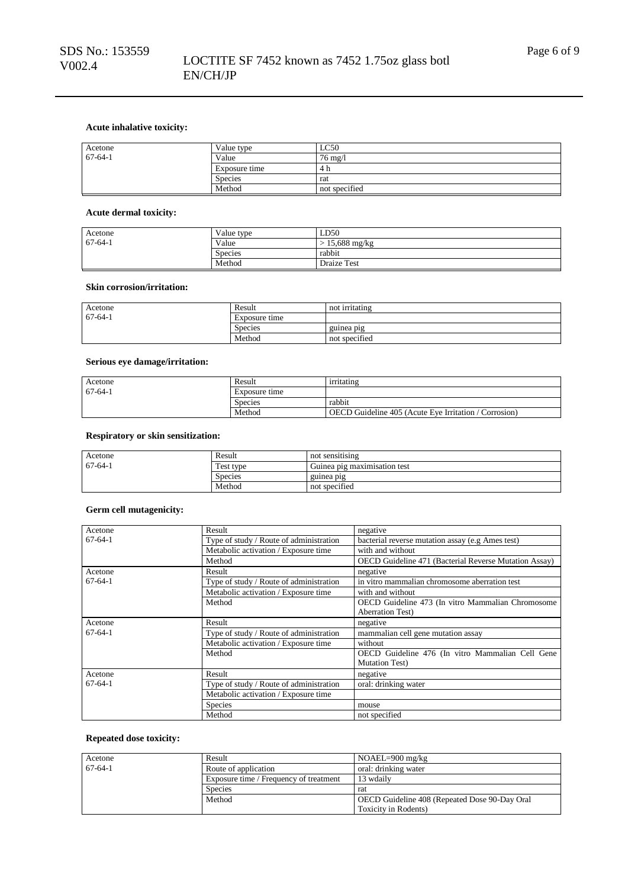### **Acute inhalative toxicity:**

| Acetone       | Value type     | LC50              |
|---------------|----------------|-------------------|
| $67 - 64 - 1$ | Value          | $76 \text{ mg}/1$ |
|               | Exposure time  | 4 h               |
|               | <b>Species</b> | rat               |
|               | Method         | not specified     |

#### **Acute dermal toxicity:**

| Acetone       | Value type     | LD50                     |
|---------------|----------------|--------------------------|
| $67 - 64 - 1$ | Value          | $> 15,688 \text{ mg/kg}$ |
|               | <b>Species</b> | rabbit                   |
|               | Method         | Draize Test              |

#### **Skin corrosion/irritation:**

| Acetone       | Result         | not irritating |
|---------------|----------------|----------------|
| $67 - 64 - 1$ | Exposure time  |                |
|               | <b>Species</b> | guinea pig     |
|               | Method         | not specified  |

#### **Serious eye damage/irritation:**

| Acetone   | Result        | irritating                                            |
|-----------|---------------|-------------------------------------------------------|
| $67-64-1$ | Exposure time |                                                       |
|           | Species       | rabbit                                                |
|           | Method        | OECD Guideline 405 (Acute Eve Irritation / Corrosion) |

### **Respiratory or skin sensitization:**

| Acetone   | Result         | not sensitising              |
|-----------|----------------|------------------------------|
| $67-64-1$ | Test type      | Guinea pig maximisation test |
|           | <b>Species</b> | guinea pig                   |
|           | Method         | not specified                |

### **Germ cell mutagenicity:**

| Acetone       | Result                                  | negative                                              |
|---------------|-----------------------------------------|-------------------------------------------------------|
| $67-64-1$     | Type of study / Route of administration | bacterial reverse mutation assay (e.g Ames test)      |
|               | Metabolic activation / Exposure time    | with and without                                      |
|               | Method                                  | OECD Guideline 471 (Bacterial Reverse Mutation Assay) |
| Acetone       | Result                                  | negative                                              |
| $67 - 64 - 1$ | Type of study / Route of administration | in vitro mammalian chromosome aberration test         |
|               | Metabolic activation / Exposure time    | with and without                                      |
|               | Method                                  | OECD Guideline 473 (In vitro Mammalian Chromosome     |
|               |                                         | <b>Aberration Test</b> )                              |
| Acetone       | Result                                  | negative                                              |
| $67 - 64 - 1$ | Type of study / Route of administration | mammalian cell gene mutation assay                    |
|               | Metabolic activation / Exposure time    | without                                               |
|               | Method                                  | OECD Guideline 476 (In vitro Mammalian Cell Gene      |
|               |                                         | <b>Mutation Test</b> )                                |
| Acetone       | Result                                  | negative                                              |
| $67-64-1$     | Type of study / Route of administration | oral: drinking water                                  |
|               | Metabolic activation / Exposure time    |                                                       |
|               | <b>Species</b>                          | mouse                                                 |
|               | Method                                  | not specified                                         |

### **Repeated dose toxicity:**

| Acetone   | Result                                 | $NOAEL=900$ mg/kg                             |
|-----------|----------------------------------------|-----------------------------------------------|
| $67-64-1$ | Route of application                   | oral: drinking water                          |
|           | Exposure time / Frequency of treatment | 13 wdaily                                     |
|           | <b>Species</b>                         | rat                                           |
|           | Method                                 | OECD Guideline 408 (Repeated Dose 90-Day Oral |
|           |                                        | Toxicity in Rodents)                          |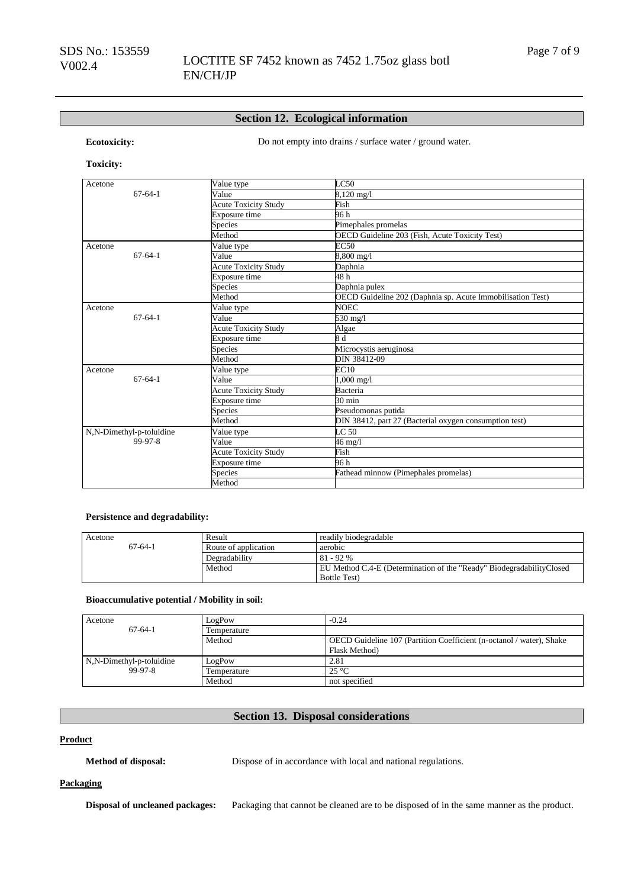### **Section 12. Ecological information**

**Ecotoxicity:** Do not empty into drains / surface water / ground water.

## **Toxicity:**

| Acetone                  | Value type                  | LC50                                                       |
|--------------------------|-----------------------------|------------------------------------------------------------|
| $67 - 64 - 1$            | Value                       | 8,120 mg/l                                                 |
|                          | <b>Acute Toxicity Study</b> | Fish                                                       |
|                          | Exposure time               | 96 h                                                       |
|                          | Species                     | Pimephales promelas                                        |
|                          | Method                      | OECD Guideline 203 (Fish, Acute Toxicity Test)             |
| Acetone                  | Value type                  | <b>EC50</b>                                                |
| $67 - 64 - 1$            | Value                       | 8,800 mg/l                                                 |
|                          | <b>Acute Toxicity Study</b> | Daphnia                                                    |
|                          | Exposure time               | 48h                                                        |
|                          | Species                     | Daphnia pulex                                              |
|                          | Method                      | OECD Guideline 202 (Daphnia sp. Acute Immobilisation Test) |
| Acetone                  | Value type                  | <b>NOEC</b>                                                |
| $67 - 64 - 1$            | Value                       | 530 mg/l                                                   |
|                          | <b>Acute Toxicity Study</b> | Algae                                                      |
|                          | Exposure time               | 8d                                                         |
|                          | Species                     | Microcystis aeruginosa                                     |
|                          | Method                      | DIN 38412-09                                               |
| Acetone                  | Value type                  | EC10                                                       |
| $67 - 64 - 1$            | Value                       | 1,000 mg/l                                                 |
|                          | <b>Acute Toxicity Study</b> | Bacteria                                                   |
|                          | Exposure time               | 30 min                                                     |
|                          | <b>Species</b>              | Pseudomonas putida                                         |
|                          | Method                      | DIN 38412, part 27 (Bacterial oxygen consumption test)     |
| N,N-Dimethyl-p-toluidine | Value type                  | LC <sub>50</sub>                                           |
| 99-97-8                  | Value                       | 46 mg/l                                                    |
|                          | Acute Toxicity Study        | Fish                                                       |
|                          | Exposure time               | 96 h                                                       |
|                          | Species                     | Fathead minnow (Pimephales promelas)                       |
|                          | Method                      |                                                            |

### **Persistence and degradability:**

| Acetone   | Result               | readily biodegradable                                                 |
|-----------|----------------------|-----------------------------------------------------------------------|
| $67-64-1$ | Route of application | aerobic                                                               |
|           | Degradability        | $81 - 92\%$                                                           |
|           | Method               | EU Method C.4-E (Determination of the "Ready" Biodegradability Closed |
|           |                      | <b>Bottle Test</b> )                                                  |

#### **Bioaccumulative potential / Mobility in soil:**

| Acetone                  | LogPow      | $-0.24$                                                              |
|--------------------------|-------------|----------------------------------------------------------------------|
| $67-64-1$                | Temperature |                                                                      |
|                          | Method      | OECD Guideline 107 (Partition Coefficient (n-octanol / water), Shake |
|                          |             | Flask Method)                                                        |
| N,N-Dimethyl-p-toluidine | LogPow      | 2.81                                                                 |
| 99-97-8                  | Temperature | $25^{\circ}$ C                                                       |
|                          | Method      | not specified                                                        |

## **Section 13. Disposal considerations**

#### **Product**

**Method of disposal:** Dispose of in accordance with local and national regulations.

#### **Packaging**

**Disposal of uncleaned packages:** Packaging that cannot be cleaned are to be disposed of in the same manner as the product.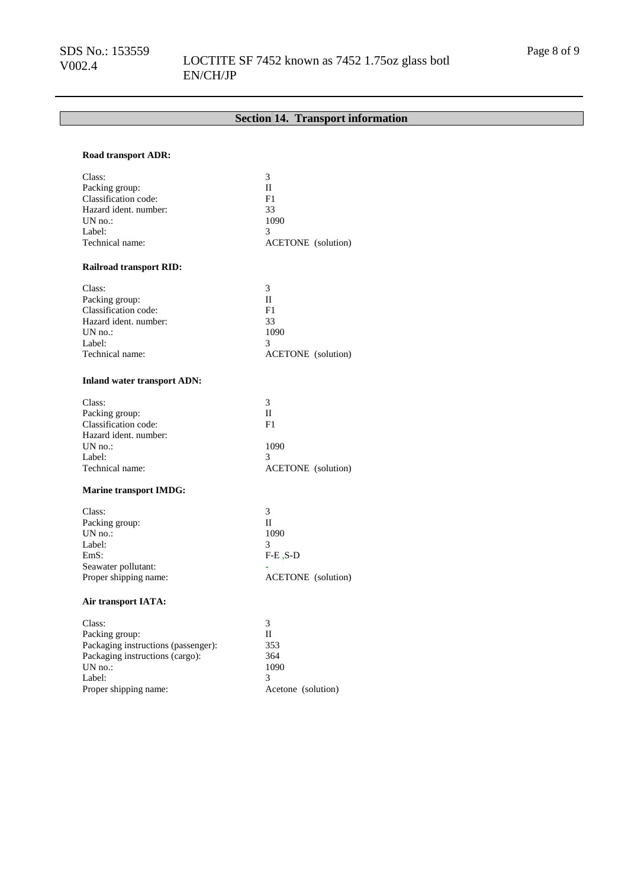## LOCTITE SF 7452 known as 7452 1.75oz glass botl EN/CH/JP

## **Section 14. Transport information**

### **Road transport ADR:**

| Class:                         | 3                         |
|--------------------------------|---------------------------|
| Packing group:                 | П                         |
| Classification code:           | F1                        |
| Hazard ident, number:          | 33                        |
| $UN$ no.:                      | 1090                      |
| Label:                         | 3                         |
| Technical name:                | <b>ACETONE</b> (solution) |
| <b>Railroad transport RID:</b> |                           |
| Class:                         | 3                         |
| Packing group:                 | П                         |
| Classification code:           | F1                        |
| Hazard ident, number:          | 33                        |
| $UN$ no.:                      | 1090                      |
| Label:                         | 3                         |
| Technical name:                | <b>ACETONE</b> (solution) |

#### **Inland water transport ADN:**

| Class:                | 3                         |
|-----------------------|---------------------------|
| Packing group:        | Н                         |
| Classification code:  | F1                        |
| Hazard ident. number: |                           |
| $UN$ no.:             | 1090                      |
| Label:                | 3                         |
| Technical name:       | <b>ACETONE</b> (solution) |
|                       |                           |

### **Marine transport IMDG:**

| Class:                |                           |
|-----------------------|---------------------------|
| Packing group:        | н                         |
| $UN$ no.:             | 1090                      |
| Label:                |                           |
| EmS:                  | $F-E$ , $S-D$             |
| Seawater pollutant:   |                           |
| Proper shipping name: | <b>ACETONE</b> (solution) |
|                       |                           |

### **Air transport IATA:**

| 353                |
|--------------------|
| 364                |
| 1090               |
|                    |
| Acetone (solution) |
|                    |